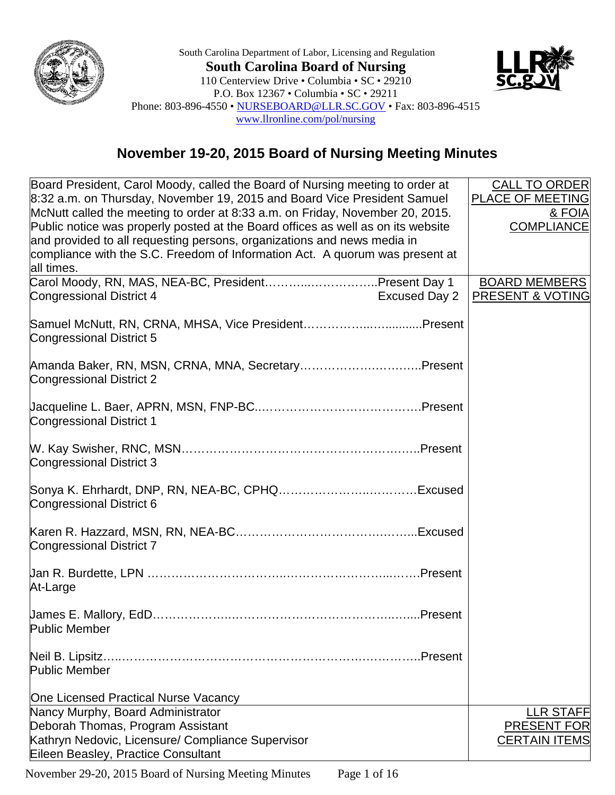

South Carolina Department of Labor, Licensing and Regulation **South Carolina Board of Nursing** 110 Centerview Drive • Columbia • SC • 29210 P.O. Box 12367 • Columbia • SC • 29211 Phone: 803-896-4550 • [NURSEBOARD@LLR.SC.GOV](mailto:NURSEBOARD@LLR.SC.GOV) • Fax: 803-896-4515 [www.llronline.com/pol/nursing](http://www.llronline.com/pol/nursing)



## **November 19-20, 2015 Board of Nursing Meeting Minutes**

| Board President, Carol Moody, called the Board of Nursing meeting to order at    | <b>CALL TO ORDER</b>    |
|----------------------------------------------------------------------------------|-------------------------|
| 8:32 a.m. on Thursday, November 19, 2015 and Board Vice President Samuel         | <b>PLACE OF MEETING</b> |
| McNutt called the meeting to order at 8:33 a.m. on Friday, November 20, 2015.    | & FOIA                  |
| Public notice was properly posted at the Board offices as well as on its website | <b>COMPLIANCE</b>       |
| and provided to all requesting persons, organizations and news media in          |                         |
| compliance with the S.C. Freedom of Information Act. A quorum was present at     |                         |
| all times.                                                                       |                         |
| Carol Moody, RN, MAS, NEA-BC, PresidentPresent Day 1                             | <b>BOARD MEMBERS</b>    |
| <b>Excused Day 2</b><br>Congressional District 4                                 | PRESENT & VOTING        |
|                                                                                  |                         |
| Samuel McNutt, RN, CRNA, MHSA, Vice PresidentPresent                             |                         |
| Congressional District 5                                                         |                         |
|                                                                                  |                         |
| Amanda Baker, RN, MSN, CRNA, MNA, SecretaryPresent                               |                         |
| <b>Congressional District 2</b>                                                  |                         |
|                                                                                  |                         |
| <b>Congressional District 1</b>                                                  |                         |
|                                                                                  |                         |
|                                                                                  |                         |
| Congressional District 3                                                         |                         |
|                                                                                  |                         |
|                                                                                  |                         |
| Congressional District 6                                                         |                         |
|                                                                                  |                         |
|                                                                                  |                         |
| <b>Congressional District 7</b>                                                  |                         |
|                                                                                  |                         |
|                                                                                  |                         |
| At-Large                                                                         |                         |
|                                                                                  |                         |
| Public Member                                                                    |                         |
|                                                                                  |                         |
| Neil B. Lipsitz.<br>Present                                                      |                         |
| <b>Public Member</b>                                                             |                         |
|                                                                                  |                         |
| One Licensed Practical Nurse Vacancy                                             |                         |
| Nancy Murphy, Board Administrator                                                | <b>LLR STAFF</b>        |
| Deborah Thomas, Program Assistant                                                | <b>PRESENT FOR</b>      |
| Kathryn Nedovic, Licensure/ Compliance Supervisor                                | <b>CERTAIN ITEMS</b>    |
| Eileen Beasley, Practice Consultant                                              |                         |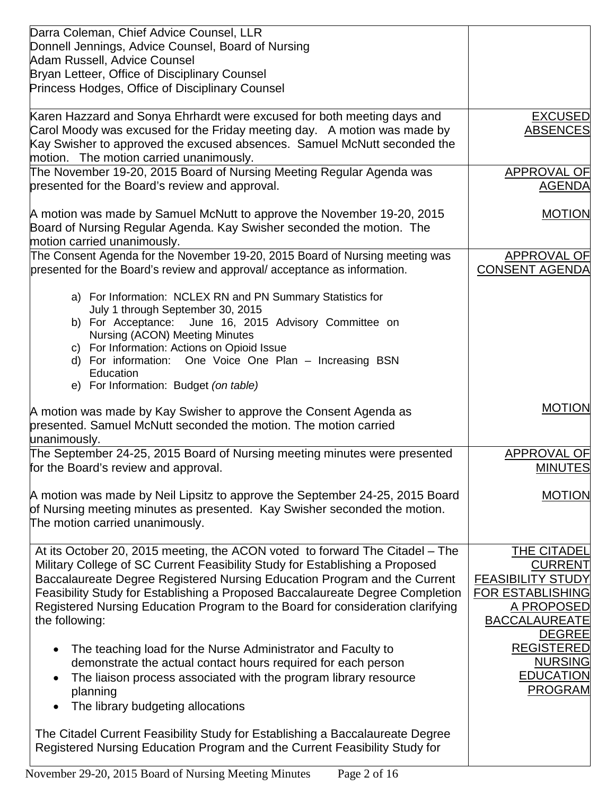| Darra Coleman, Chief Advice Counsel, LLR<br>Donnell Jennings, Advice Counsel, Board of Nursing<br>Adam Russell, Advice Counsel<br>Bryan Letteer, Office of Disciplinary Counsel<br>Princess Hodges, Office of Disciplinary Counsel                                                                                                                                 |                                                                                                            |
|--------------------------------------------------------------------------------------------------------------------------------------------------------------------------------------------------------------------------------------------------------------------------------------------------------------------------------------------------------------------|------------------------------------------------------------------------------------------------------------|
| Karen Hazzard and Sonya Ehrhardt were excused for both meeting days and<br>Carol Moody was excused for the Friday meeting day.  A motion was made by<br>Kay Swisher to approved the excused absences. Samuel McNutt seconded the<br>motion. The motion carried unanimously.                                                                                        | <b>EXCUSED</b><br><b>ABSENCES</b>                                                                          |
| The November 19-20, 2015 Board of Nursing Meeting Regular Agenda was<br>presented for the Board's review and approval.                                                                                                                                                                                                                                             | <b>APPROVAL OF</b><br><b>AGENDA</b>                                                                        |
| A motion was made by Samuel McNutt to approve the November 19-20, 2015<br>Board of Nursing Regular Agenda. Kay Swisher seconded the motion. The<br>motion carried unanimously.                                                                                                                                                                                     | <b>MOTION</b>                                                                                              |
| The Consent Agenda for the November 19-20, 2015 Board of Nursing meeting was<br>presented for the Board's review and approval/acceptance as information.                                                                                                                                                                                                           | <b>APPROVAL OF</b><br><b>CONSENT AGENDA</b>                                                                |
| a) For Information: NCLEX RN and PN Summary Statistics for<br>July 1 through September 30, 2015<br>b) For Acceptance: June 16, 2015 Advisory Committee on<br><b>Nursing (ACON) Meeting Minutes</b><br>c) For Information: Actions on Opioid Issue<br>d) For information: One Voice One Plan - Increasing BSN<br>Education<br>e) For Information: Budget (on table) |                                                                                                            |
| A motion was made by Kay Swisher to approve the Consent Agenda as<br>presented. Samuel McNutt seconded the motion. The motion carried<br>unanimously.                                                                                                                                                                                                              | <b>MOTION</b>                                                                                              |
| The September 24-25, 2015 Board of Nursing meeting minutes were presented<br>for the Board's review and approval.                                                                                                                                                                                                                                                  | <b>APPROVAL OF</b><br><b>MINUTES</b>                                                                       |
| A motion was made by Neil Lipsitz to approve the September 24-25, 2015 Board<br>of Nursing meeting minutes as presented. Kay Swisher seconded the motion.<br>The motion carried unanimously.                                                                                                                                                                       | <b>MOTION</b>                                                                                              |
| At its October 20, 2015 meeting, the ACON voted to forward The Citadel - The<br>Military College of SC Current Feasibility Study for Establishing a Proposed<br>Baccalaureate Degree Registered Nursing Education Program and the Current                                                                                                                          | THE CITADEL<br><b>CURRENT</b>                                                                              |
| Feasibility Study for Establishing a Proposed Baccalaureate Degree Completion<br>Registered Nursing Education Program to the Board for consideration clarifying<br>the following:                                                                                                                                                                                  | <b>FEASIBILITY STUDY</b><br><b>FOR ESTABLISHING</b><br>A PROPOSED<br><b>BACCALAUREATE</b><br><b>DEGREE</b> |
| The teaching load for the Nurse Administrator and Faculty to<br>demonstrate the actual contact hours required for each person<br>The liaison process associated with the program library resource<br>planning<br>The library budgeting allocations                                                                                                                 | <b>REGISTERED</b><br><b>NURSING</b><br><b>EDUCATION</b><br><b>PROGRAM</b>                                  |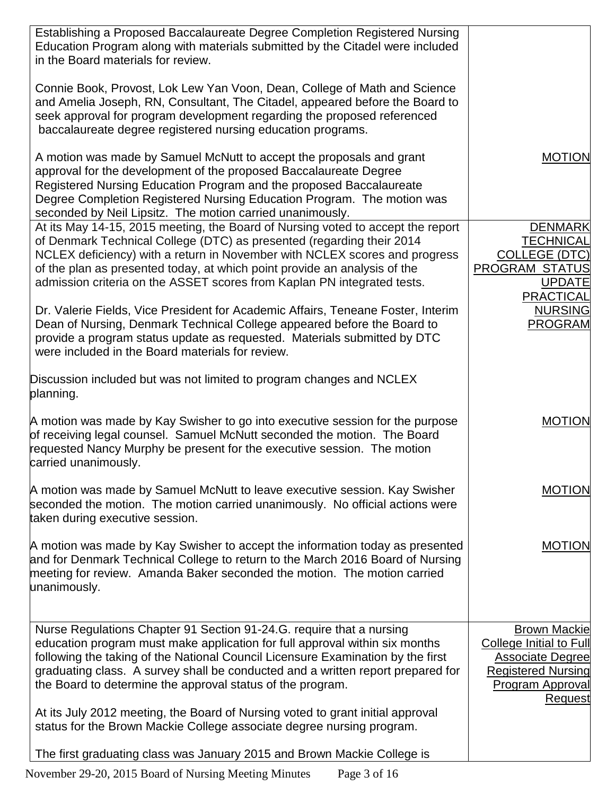| Establishing a Proposed Baccalaureate Degree Completion Registered Nursing<br>Education Program along with materials submitted by the Citadel were included<br>in the Board materials for review.<br>Connie Book, Provost, Lok Lew Yan Voon, Dean, College of Math and Science<br>and Amelia Joseph, RN, Consultant, The Citadel, appeared before the Board to<br>seek approval for program development regarding the proposed referenced<br>baccalaureate degree registered nursing education programs. |                                                                                                                                                     |
|----------------------------------------------------------------------------------------------------------------------------------------------------------------------------------------------------------------------------------------------------------------------------------------------------------------------------------------------------------------------------------------------------------------------------------------------------------------------------------------------------------|-----------------------------------------------------------------------------------------------------------------------------------------------------|
| A motion was made by Samuel McNutt to accept the proposals and grant<br>approval for the development of the proposed Baccalaureate Degree<br>Registered Nursing Education Program and the proposed Baccalaureate<br>Degree Completion Registered Nursing Education Program. The motion was<br>seconded by Neil Lipsitz. The motion carried unanimously.                                                                                                                                                  | <b>MOTION</b>                                                                                                                                       |
| At its May 14-15, 2015 meeting, the Board of Nursing voted to accept the report<br>of Denmark Technical College (DTC) as presented (regarding their 2014<br>NCLEX deficiency) with a return in November with NCLEX scores and progress<br>of the plan as presented today, at which point provide an analysis of the<br>admission criteria on the ASSET scores from Kaplan PN integrated tests.<br>Dr. Valerie Fields, Vice President for Academic Affairs, Teneane Foster, Interim                       | <b>DENMARK</b><br><b>TECHNICAL</b><br><b>COLLEGE (DTC)</b><br><b>PROGRAM STATUS</b><br><b>UPDATE</b><br><b>PRACTICAL</b><br><b>NURSING</b>          |
| Dean of Nursing, Denmark Technical College appeared before the Board to<br>provide a program status update as requested. Materials submitted by DTC<br>were included in the Board materials for review.                                                                                                                                                                                                                                                                                                  | <b>PROGRAM</b>                                                                                                                                      |
| Discussion included but was not limited to program changes and NCLEX<br>planning.                                                                                                                                                                                                                                                                                                                                                                                                                        |                                                                                                                                                     |
| A motion was made by Kay Swisher to go into executive session for the purpose<br>of receiving legal counsel. Samuel McNutt seconded the motion. The Board<br>requested Nancy Murphy be present for the executive session. The motion<br>carried unanimously.                                                                                                                                                                                                                                             | MOTION                                                                                                                                              |
| A motion was made by Samuel McNutt to leave executive session. Kay Swisher<br>seconded the motion. The motion carried unanimously. No official actions were<br>taken during executive session.                                                                                                                                                                                                                                                                                                           | MOTION                                                                                                                                              |
| A motion was made by Kay Swisher to accept the information today as presented<br>and for Denmark Technical College to return to the March 2016 Board of Nursing<br>meeting for review. Amanda Baker seconded the motion. The motion carried<br>unanimously.                                                                                                                                                                                                                                              | <b>MOTION</b>                                                                                                                                       |
| Nurse Regulations Chapter 91 Section 91-24.G. require that a nursing<br>education program must make application for full approval within six months<br>following the taking of the National Council Licensure Examination by the first<br>graduating class. A survey shall be conducted and a written report prepared for<br>the Board to determine the approval status of the program.                                                                                                                  | <b>Brown Mackie</b><br><b>College Initial to Full</b><br><b>Associate Degree</b><br><b>Registered Nursing</b><br><b>Program Approval</b><br>Request |
| At its July 2012 meeting, the Board of Nursing voted to grant initial approval<br>status for the Brown Mackie College associate degree nursing program.                                                                                                                                                                                                                                                                                                                                                  |                                                                                                                                                     |
| The first graduating class was January 2015 and Brown Mackie College is                                                                                                                                                                                                                                                                                                                                                                                                                                  |                                                                                                                                                     |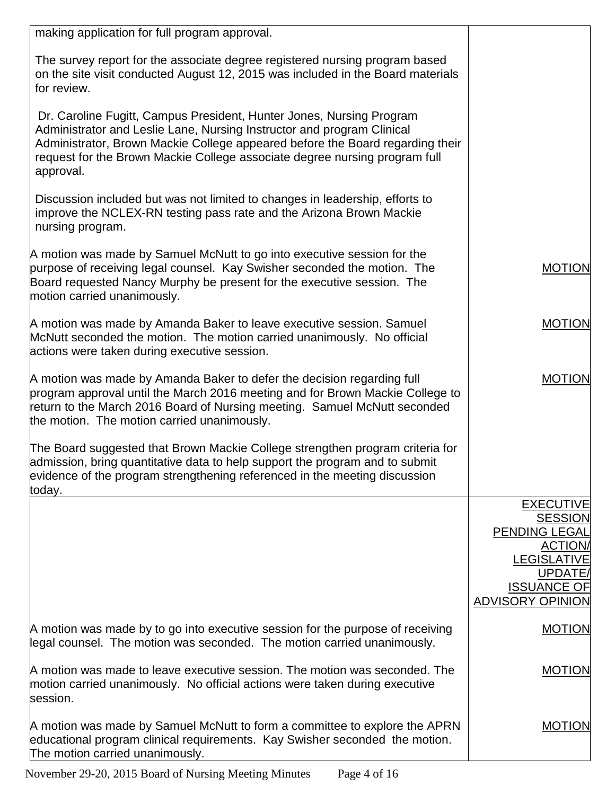| making application for full program approval.                                                                                                                                                                                                                                                                              |                                               |
|----------------------------------------------------------------------------------------------------------------------------------------------------------------------------------------------------------------------------------------------------------------------------------------------------------------------------|-----------------------------------------------|
| The survey report for the associate degree registered nursing program based<br>on the site visit conducted August 12, 2015 was included in the Board materials<br>for review.                                                                                                                                              |                                               |
| Dr. Caroline Fugitt, Campus President, Hunter Jones, Nursing Program<br>Administrator and Leslie Lane, Nursing Instructor and program Clinical<br>Administrator, Brown Mackie College appeared before the Board regarding their<br>request for the Brown Mackie College associate degree nursing program full<br>approval. |                                               |
| Discussion included but was not limited to changes in leadership, efforts to<br>improve the NCLEX-RN testing pass rate and the Arizona Brown Mackie<br>nursing program.                                                                                                                                                    |                                               |
| A motion was made by Samuel McNutt to go into executive session for the<br>purpose of receiving legal counsel. Kay Swisher seconded the motion. The<br>Board requested Nancy Murphy be present for the executive session. The<br>motion carried unanimously.                                                               | <b>MOTION</b>                                 |
| A motion was made by Amanda Baker to leave executive session. Samuel<br>McNutt seconded the motion. The motion carried unanimously. No official<br>actions were taken during executive session.                                                                                                                            | <b>MOTION</b>                                 |
| A motion was made by Amanda Baker to defer the decision regarding full<br>program approval until the March 2016 meeting and for Brown Mackie College to<br>return to the March 2016 Board of Nursing meeting. Samuel McNutt seconded<br>the motion. The motion carried unanimously.                                        | <b>MOTION</b>                                 |
| The Board suggested that Brown Mackie College strengthen program criteria for<br>admission, bring quantitative data to help support the program and to submit<br>evidence of the program strengthening referenced in the meeting discussion<br>today.                                                                      |                                               |
|                                                                                                                                                                                                                                                                                                                            | <b>EXECUTIVE</b><br><b>SESSION</b>            |
|                                                                                                                                                                                                                                                                                                                            | <b>PENDING LEGAL</b>                          |
|                                                                                                                                                                                                                                                                                                                            | <b>ACTION</b><br><b>LEGISLATIVE</b>           |
|                                                                                                                                                                                                                                                                                                                            | UPDATE/                                       |
|                                                                                                                                                                                                                                                                                                                            | <b>ISSUANCE OF</b><br><b>ADVISORY OPINION</b> |
| A motion was made by to go into executive session for the purpose of receiving<br>legal counsel. The motion was seconded. The motion carried unanimously.                                                                                                                                                                  | <b>MOTION</b>                                 |
| A motion was made to leave executive session. The motion was seconded. The<br>motion carried unanimously. No official actions were taken during executive<br>session.                                                                                                                                                      | <b>MOTION</b>                                 |
| A motion was made by Samuel McNutt to form a committee to explore the APRN<br>educational program clinical requirements. Kay Swisher seconded the motion.<br>The motion carried unanimously.                                                                                                                               | <b>MOTION</b>                                 |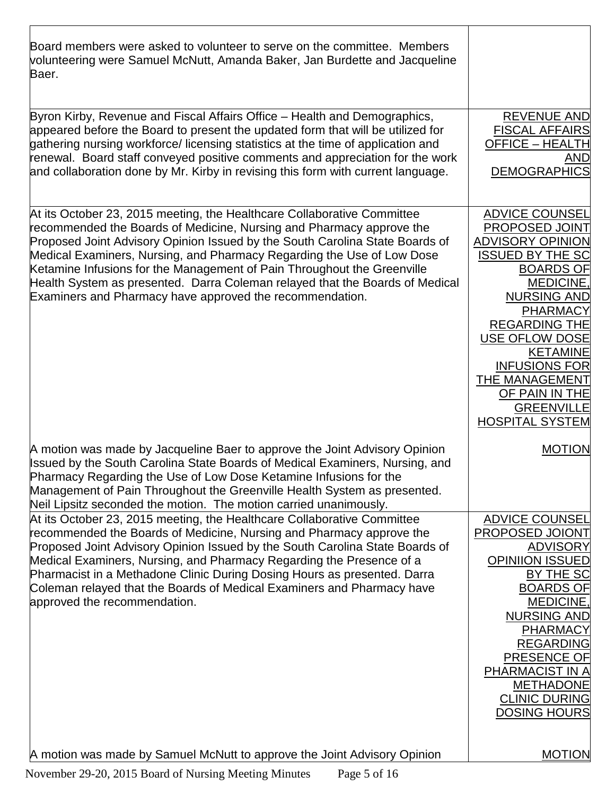| Board members were asked to volunteer to serve on the committee. Members<br>volunteering were Samuel McNutt, Amanda Baker, Jan Burdette and Jacqueline<br>Baer.                                                                                                                                                                                                                                                                                                                                                                  |                                                                                                                                                                                                                                                                                                                                                               |
|----------------------------------------------------------------------------------------------------------------------------------------------------------------------------------------------------------------------------------------------------------------------------------------------------------------------------------------------------------------------------------------------------------------------------------------------------------------------------------------------------------------------------------|---------------------------------------------------------------------------------------------------------------------------------------------------------------------------------------------------------------------------------------------------------------------------------------------------------------------------------------------------------------|
| Byron Kirby, Revenue and Fiscal Affairs Office - Health and Demographics,<br>appeared before the Board to present the updated form that will be utilized for<br>gathering nursing workforce/ licensing statistics at the time of application and<br>renewal. Board staff conveyed positive comments and appreciation for the work<br>and collaboration done by Mr. Kirby in revising this form with current language.                                                                                                            | <b>REVENUE AND</b><br><b>FISCAL AFFAIRS</b><br><b>OFFICE - HEALTH</b><br><b>AND</b><br><b>DEMOGRAPHICS</b>                                                                                                                                                                                                                                                    |
| At its October 23, 2015 meeting, the Healthcare Collaborative Committee<br>recommended the Boards of Medicine, Nursing and Pharmacy approve the<br>Proposed Joint Advisory Opinion Issued by the South Carolina State Boards of<br>Medical Examiners, Nursing, and Pharmacy Regarding the Use of Low Dose<br>Ketamine Infusions for the Management of Pain Throughout the Greenville<br>Health System as presented. Darra Coleman relayed that the Boards of Medical<br>Examiners and Pharmacy have approved the recommendation. | <b>ADVICE COUNSEL</b><br>PROPOSED JOINT<br><b>ADVISORY OPINION</b><br><b>ISSUED BY THE SC</b><br><b>BOARDS OF</b><br><b>MEDICINE,</b><br><b>NURSING AND</b><br><b>PHARMACY</b><br><b>REGARDING THE</b><br><b>USE OFLOW DOSE</b><br><b>KETAMINE</b><br><b>INFUSIONS FOR</b><br>THE MANAGEMENT<br>OF PAIN IN THE<br><b>GREENVILLE</b><br><b>HOSPITAL SYSTEM</b> |
| A motion was made by Jacqueline Baer to approve the Joint Advisory Opinion<br>Issued by the South Carolina State Boards of Medical Examiners, Nursing, and<br>Pharmacy Regarding the Use of Low Dose Ketamine Infusions for the<br>Management of Pain Throughout the Greenville Health System as presented.<br>Neil Lipsitz seconded the motion. The motion carried unanimously.                                                                                                                                                 | <b>MOTION</b>                                                                                                                                                                                                                                                                                                                                                 |
| At its October 23, 2015 meeting, the Healthcare Collaborative Committee<br>recommended the Boards of Medicine, Nursing and Pharmacy approve the<br>Proposed Joint Advisory Opinion Issued by the South Carolina State Boards of<br>Medical Examiners, Nursing, and Pharmacy Regarding the Presence of a<br>Pharmacist in a Methadone Clinic During Dosing Hours as presented. Darra<br>Coleman relayed that the Boards of Medical Examiners and Pharmacy have<br>approved the recommendation.                                    | <b>ADVICE COUNSEL</b><br>PROPOSED JOIONT<br><b>ADVISORY</b><br><b>OPINIION ISSUED</b><br>BY THE SC<br><b>BOARDS OF</b><br><b>MEDICINE,</b><br><b>NURSING AND</b><br><b>PHARMACY</b><br><b>REGARDING</b><br>PRESENCE OF<br>PHARMACIST IN A<br><b>METHADONE</b><br><b>CLINIC DURING</b><br><b>DOSING HOURS</b>                                                  |
| A motion was made by Samuel McNutt to approve the Joint Advisory Opinion                                                                                                                                                                                                                                                                                                                                                                                                                                                         | <b>MOTION</b>                                                                                                                                                                                                                                                                                                                                                 |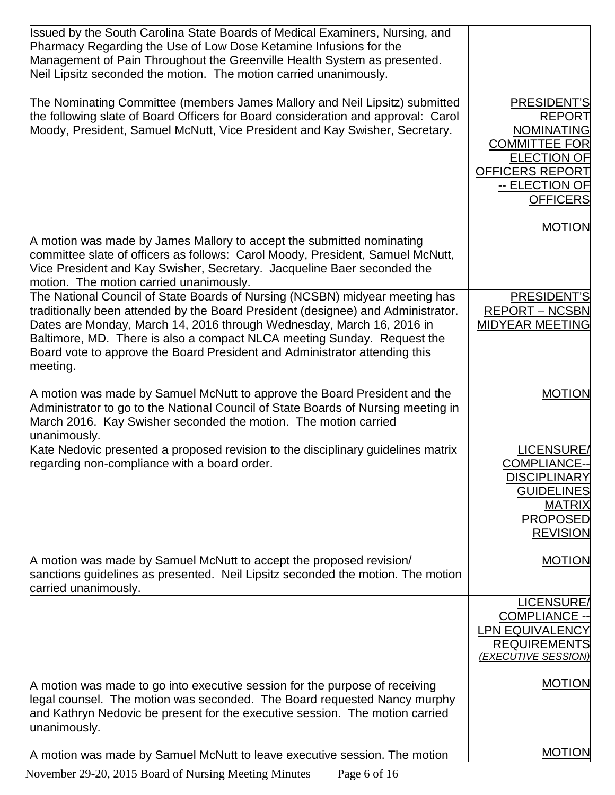| Issued by the South Carolina State Boards of Medical Examiners, Nursing, and<br>Pharmacy Regarding the Use of Low Dose Ketamine Infusions for the<br>Management of Pain Throughout the Greenville Health System as presented.<br>Neil Lipsitz seconded the motion. The motion carried unanimously.                                                                                                            |                                                                                                                                                         |
|---------------------------------------------------------------------------------------------------------------------------------------------------------------------------------------------------------------------------------------------------------------------------------------------------------------------------------------------------------------------------------------------------------------|---------------------------------------------------------------------------------------------------------------------------------------------------------|
| The Nominating Committee (members James Mallory and Neil Lipsitz) submitted<br>the following slate of Board Officers for Board consideration and approval: Carol<br>Moody, President, Samuel McNutt, Vice President and Kay Swisher, Secretary.                                                                                                                                                               | PRESIDENT'S<br><b>REPORT</b><br><b>NOMINATING</b><br><b>COMMITTEE FOR</b><br><b>ELECTION OF</b><br>OFFICERS REPORT<br>-- ELECTION OF<br><b>OFFICERS</b> |
| A motion was made by James Mallory to accept the submitted nominating<br>committee slate of officers as follows: Carol Moody, President, Samuel McNutt,<br>Vice President and Kay Swisher, Secretary. Jacqueline Baer seconded the<br>motion. The motion carried unanimously.                                                                                                                                 | <b>MOTION</b>                                                                                                                                           |
| The National Council of State Boards of Nursing (NCSBN) midyear meeting has<br>traditionally been attended by the Board President (designee) and Administrator.<br>Dates are Monday, March 14, 2016 through Wednesday, March 16, 2016 in<br>Baltimore, MD. There is also a compact NLCA meeting Sunday. Request the<br>Board vote to approve the Board President and Administrator attending this<br>meeting. | PRESIDENT'S<br><b>REPORT - NCSBN</b><br><b>MIDYEAR MEETING</b>                                                                                          |
| A motion was made by Samuel McNutt to approve the Board President and the<br>Administrator to go to the National Council of State Boards of Nursing meeting in<br>March 2016. Kay Swisher seconded the motion. The motion carried<br>unanimously.                                                                                                                                                             | <b>MOTION</b>                                                                                                                                           |
| Kate Nedovic presented a proposed revision to the disciplinary guidelines matrix<br>regarding non-compliance with a board order.                                                                                                                                                                                                                                                                              | LICENSURE/<br><b>COMPLIANCE--</b><br><b>DISCIPLINARY</b><br><b>GUIDELINES</b><br><b>MATRIX</b><br><b>PROPOSED</b><br><b>REVISION</b>                    |
| A motion was made by Samuel McNutt to accept the proposed revision/<br>sanctions guidelines as presented. Neil Lipsitz seconded the motion. The motion<br>carried unanimously.                                                                                                                                                                                                                                | <b>MOTION</b>                                                                                                                                           |
|                                                                                                                                                                                                                                                                                                                                                                                                               | LICENSURE/<br><b>COMPLIANCE --</b><br><b>LPN EQUIVALENCY</b><br><b>REQUIREMENTS</b><br>(EXECUTIVE SESSION)                                              |
| A motion was made to go into executive session for the purpose of receiving<br>legal counsel. The motion was seconded. The Board requested Nancy murphy<br>and Kathryn Nedovic be present for the executive session. The motion carried<br>unanimously.                                                                                                                                                       | <b>MOTION</b>                                                                                                                                           |
| A motion was made by Samuel McNutt to leave executive session. The motion                                                                                                                                                                                                                                                                                                                                     | <b>MOTION</b>                                                                                                                                           |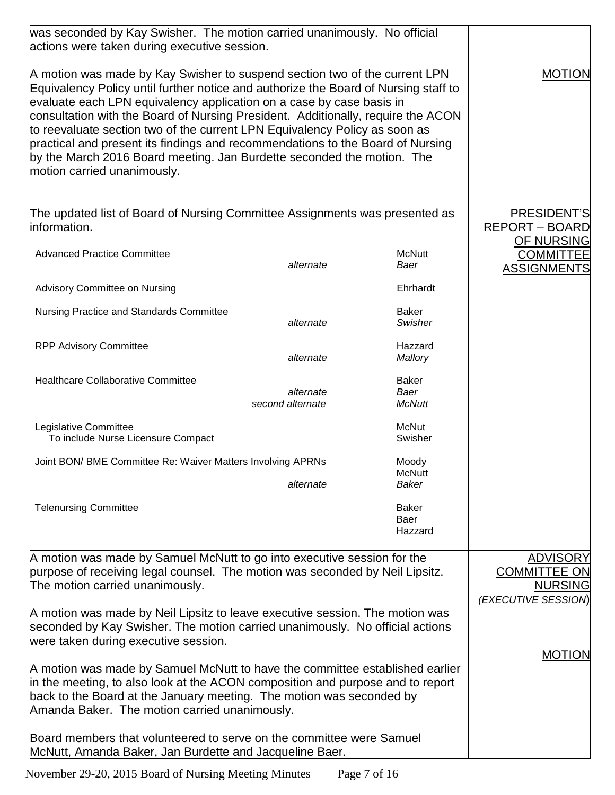| was seconded by Kay Swisher. The motion carried unanimously. No official<br>actions were taken during executive session.                                                                                                                                                                                                                                                                                                                                                                                                                                                                               |                               |                                       |                                                                                 |
|--------------------------------------------------------------------------------------------------------------------------------------------------------------------------------------------------------------------------------------------------------------------------------------------------------------------------------------------------------------------------------------------------------------------------------------------------------------------------------------------------------------------------------------------------------------------------------------------------------|-------------------------------|---------------------------------------|---------------------------------------------------------------------------------|
| A motion was made by Kay Swisher to suspend section two of the current LPN<br>Equivalency Policy until further notice and authorize the Board of Nursing staff to<br>evaluate each LPN equivalency application on a case by case basis in<br>consultation with the Board of Nursing President. Additionally, require the ACON<br>to reevaluate section two of the current LPN Equivalency Policy as soon as<br>practical and present its findings and recommendations to the Board of Nursing<br>by the March 2016 Board meeting. Jan Burdette seconded the motion. The<br>motion carried unanimously. |                               |                                       | <b>MOTION</b>                                                                   |
| The updated list of Board of Nursing Committee Assignments was presented as<br>information.                                                                                                                                                                                                                                                                                                                                                                                                                                                                                                            |                               |                                       | PRESIDENT'S<br><b>REPORT - BOARD</b>                                            |
| <b>Advanced Practice Committee</b>                                                                                                                                                                                                                                                                                                                                                                                                                                                                                                                                                                     | alternate                     | <b>McNutt</b><br>Baer                 | OF NURSING<br><b>COMMITTEE</b><br><b>ASSIGNMENTS</b>                            |
| Advisory Committee on Nursing                                                                                                                                                                                                                                                                                                                                                                                                                                                                                                                                                                          |                               | Ehrhardt                              |                                                                                 |
| Nursing Practice and Standards Committee                                                                                                                                                                                                                                                                                                                                                                                                                                                                                                                                                               | alternate                     | <b>Baker</b><br><b>Swisher</b>        |                                                                                 |
| <b>RPP Advisory Committee</b>                                                                                                                                                                                                                                                                                                                                                                                                                                                                                                                                                                          | alternate                     | Hazzard<br>Mallory                    |                                                                                 |
| <b>Healthcare Collaborative Committee</b>                                                                                                                                                                                                                                                                                                                                                                                                                                                                                                                                                              | alternate<br>second alternate | <b>Baker</b><br>Baer<br><b>McNutt</b> |                                                                                 |
| Legislative Committee<br>To include Nurse Licensure Compact                                                                                                                                                                                                                                                                                                                                                                                                                                                                                                                                            |                               | McNut<br>Swisher                      |                                                                                 |
| Joint BON/ BME Committee Re: Waiver Matters Involving APRNs                                                                                                                                                                                                                                                                                                                                                                                                                                                                                                                                            |                               | Moody<br><b>McNutt</b>                |                                                                                 |
|                                                                                                                                                                                                                                                                                                                                                                                                                                                                                                                                                                                                        | alternate                     | Baker                                 |                                                                                 |
| <b>Telenursing Committee</b>                                                                                                                                                                                                                                                                                                                                                                                                                                                                                                                                                                           |                               | <b>Baker</b><br>Baer<br>Hazzard       |                                                                                 |
| A motion was made by Samuel McNutt to go into executive session for the<br>purpose of receiving legal counsel. The motion was seconded by Neil Lipsitz.<br>The motion carried unanimously.                                                                                                                                                                                                                                                                                                                                                                                                             |                               |                                       | <b>ADVISORY</b><br><b>COMMITTEE ON</b><br><b>NURSING</b><br>(EXECUTIVE SESSION) |
| A motion was made by Neil Lipsitz to leave executive session. The motion was<br>seconded by Kay Swisher. The motion carried unanimously. No official actions<br>were taken during executive session.                                                                                                                                                                                                                                                                                                                                                                                                   |                               |                                       |                                                                                 |
| A motion was made by Samuel McNutt to have the committee established earlier<br>in the meeting, to also look at the ACON composition and purpose and to report<br>back to the Board at the January meeting. The motion was seconded by<br>Amanda Baker. The motion carried unanimously.                                                                                                                                                                                                                                                                                                                |                               | <b>MOTION</b>                         |                                                                                 |
| Board members that volunteered to serve on the committee were Samuel<br>McNutt, Amanda Baker, Jan Burdette and Jacqueline Baer.                                                                                                                                                                                                                                                                                                                                                                                                                                                                        |                               |                                       |                                                                                 |

November 29-20, 2015 Board of Nursing Meeting Minutes Page 7 of 16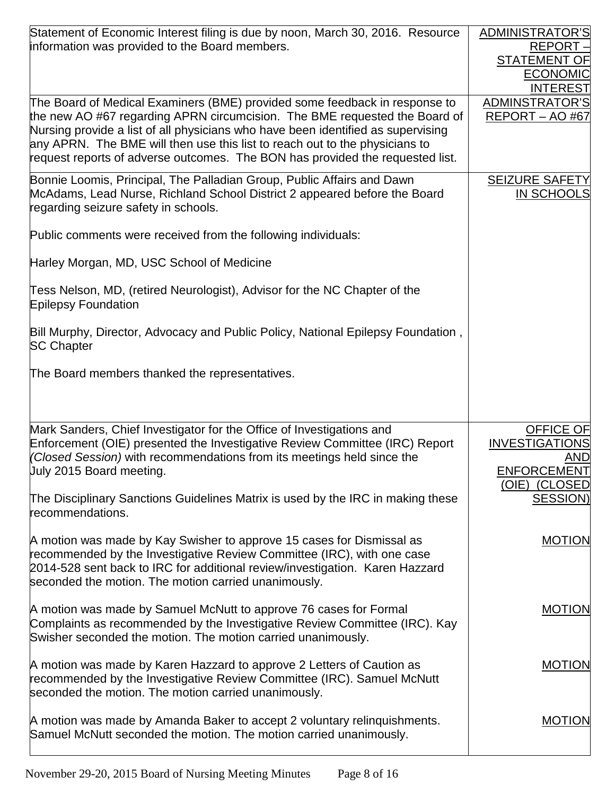| Statement of Economic Interest filing is due by noon, March 30, 2016. Resource<br>information was provided to the Board members.                                                                                                                                                                                                                                                                             | <b>ADMINISTRATOR'S</b><br>$REPORT -$<br><b>STATEMENT OF</b><br><b>ECONOMIC</b><br><b>INTEREST</b> |
|--------------------------------------------------------------------------------------------------------------------------------------------------------------------------------------------------------------------------------------------------------------------------------------------------------------------------------------------------------------------------------------------------------------|---------------------------------------------------------------------------------------------------|
| The Board of Medical Examiners (BME) provided some feedback in response to<br>the new AO #67 regarding APRN circumcision. The BME requested the Board of<br>Nursing provide a list of all physicians who have been identified as supervising<br>any APRN. The BME will then use this list to reach out to the physicians to<br>request reports of adverse outcomes. The BON has provided the requested list. | <b>ADMINSTRATOR'S</b><br>REPORT - AO #67                                                          |
| Bonnie Loomis, Principal, The Palladian Group, Public Affairs and Dawn<br>McAdams, Lead Nurse, Richland School District 2 appeared before the Board<br>regarding seizure safety in schools.                                                                                                                                                                                                                  | <b>SEIZURE SAFETY</b><br><b>IN SCHOOLS</b>                                                        |
| Public comments were received from the following individuals:                                                                                                                                                                                                                                                                                                                                                |                                                                                                   |
| Harley Morgan, MD, USC School of Medicine                                                                                                                                                                                                                                                                                                                                                                    |                                                                                                   |
| Tess Nelson, MD, (retired Neurologist), Advisor for the NC Chapter of the<br><b>Epilepsy Foundation</b>                                                                                                                                                                                                                                                                                                      |                                                                                                   |
| Bill Murphy, Director, Advocacy and Public Policy, National Epilepsy Foundation,<br><b>SC Chapter</b>                                                                                                                                                                                                                                                                                                        |                                                                                                   |
| The Board members thanked the representatives.                                                                                                                                                                                                                                                                                                                                                               |                                                                                                   |
| Mark Sanders, Chief Investigator for the Office of Investigations and<br>Enforcement (OIE) presented the Investigative Review Committee (IRC) Report<br>(Closed Session) with recommendations from its meetings held since the<br>Uuly 2015 Board meeting.                                                                                                                                                   | <b>OFFICE OF</b><br><b>INVESTIGATIONS</b><br>AND<br><b>ENFORCEMENT</b><br>(OIE) (CLOSED           |
| The Disciplinary Sanctions Guidelines Matrix is used by the IRC in making these<br>recommendations.                                                                                                                                                                                                                                                                                                          | <b>SESSION)</b>                                                                                   |
| A motion was made by Kay Swisher to approve 15 cases for Dismissal as<br>recommended by the Investigative Review Committee (IRC), with one case<br>2014-528 sent back to IRC for additional review/investigation. Karen Hazzard<br>seconded the motion. The motion carried unanimously.                                                                                                                      | <b>MOTION</b>                                                                                     |
| A motion was made by Samuel McNutt to approve 76 cases for Formal<br>Complaints as recommended by the Investigative Review Committee (IRC). Kay<br>Swisher seconded the motion. The motion carried unanimously.                                                                                                                                                                                              | <b>MOTION</b>                                                                                     |
| A motion was made by Karen Hazzard to approve 2 Letters of Caution as<br>recommended by the Investigative Review Committee (IRC). Samuel McNutt<br>seconded the motion. The motion carried unanimously.                                                                                                                                                                                                      | <b>MOTION</b>                                                                                     |
| A motion was made by Amanda Baker to accept 2 voluntary relinquishments.<br>Samuel McNutt seconded the motion. The motion carried unanimously.                                                                                                                                                                                                                                                               | <b>MOTION</b>                                                                                     |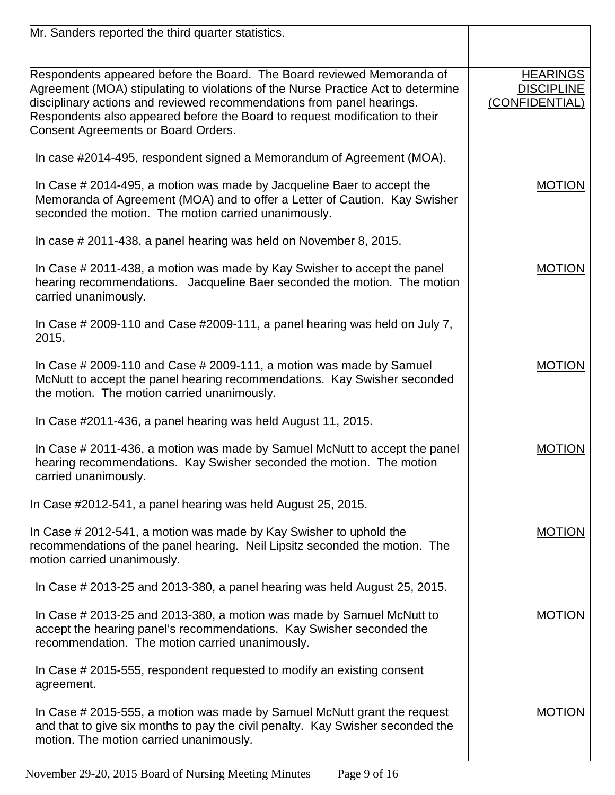| Mr. Sanders reported the third quarter statistics.                                                                                                                                                                                                                               |                                     |
|----------------------------------------------------------------------------------------------------------------------------------------------------------------------------------------------------------------------------------------------------------------------------------|-------------------------------------|
| Respondents appeared before the Board. The Board reviewed Memoranda of                                                                                                                                                                                                           | <b>HEARINGS</b>                     |
| Agreement (MOA) stipulating to violations of the Nurse Practice Act to determine<br>disciplinary actions and reviewed recommendations from panel hearings.<br>Respondents also appeared before the Board to request modification to their<br>Consent Agreements or Board Orders. | <b>DISCIPLINE</b><br>(CONFIDENTIAL) |
| In case #2014-495, respondent signed a Memorandum of Agreement (MOA).                                                                                                                                                                                                            |                                     |
| In Case # 2014-495, a motion was made by Jacqueline Baer to accept the<br>Memoranda of Agreement (MOA) and to offer a Letter of Caution. Kay Swisher<br>seconded the motion. The motion carried unanimously.                                                                     | <b>MOTION</b>                       |
| In case # 2011-438, a panel hearing was held on November 8, 2015.                                                                                                                                                                                                                |                                     |
| In Case # 2011-438, a motion was made by Kay Swisher to accept the panel<br>hearing recommendations. Jacqueline Baer seconded the motion. The motion<br>carried unanimously.                                                                                                     | <b>MOTION</b>                       |
| In Case # 2009-110 and Case #2009-111, a panel hearing was held on July 7,<br>2015.                                                                                                                                                                                              |                                     |
| In Case $\#$ 2009-110 and Case $\#$ 2009-111, a motion was made by Samuel<br>McNutt to accept the panel hearing recommendations. Kay Swisher seconded<br>the motion. The motion carried unanimously.                                                                             | <b>MOTION</b>                       |
| In Case #2011-436, a panel hearing was held August 11, 2015.                                                                                                                                                                                                                     |                                     |
| In Case # 2011-436, a motion was made by Samuel McNutt to accept the panel<br>hearing recommendations. Kay Swisher seconded the motion. The motion<br>carried unanimously.                                                                                                       | <b>MOTION</b>                       |
| In Case #2012-541, a panel hearing was held August 25, 2015.                                                                                                                                                                                                                     |                                     |
| In Case # 2012-541, a motion was made by Kay Swisher to uphold the<br>recommendations of the panel hearing. Neil Lipsitz seconded the motion. The<br>motion carried unanimously.                                                                                                 | <b>MOTION</b>                       |
| In Case # 2013-25 and 2013-380, a panel hearing was held August 25, 2015.                                                                                                                                                                                                        |                                     |
| In Case # 2013-25 and 2013-380, a motion was made by Samuel McNutt to<br>accept the hearing panel's recommendations. Kay Swisher seconded the<br>recommendation. The motion carried unanimously.                                                                                 | <b>MOTION</b>                       |
| In Case # 2015-555, respondent requested to modify an existing consent<br>agreement.                                                                                                                                                                                             |                                     |
| In Case # 2015-555, a motion was made by Samuel McNutt grant the request<br>and that to give six months to pay the civil penalty. Kay Swisher seconded the<br>motion. The motion carried unanimously.                                                                            | <b>MOTION</b>                       |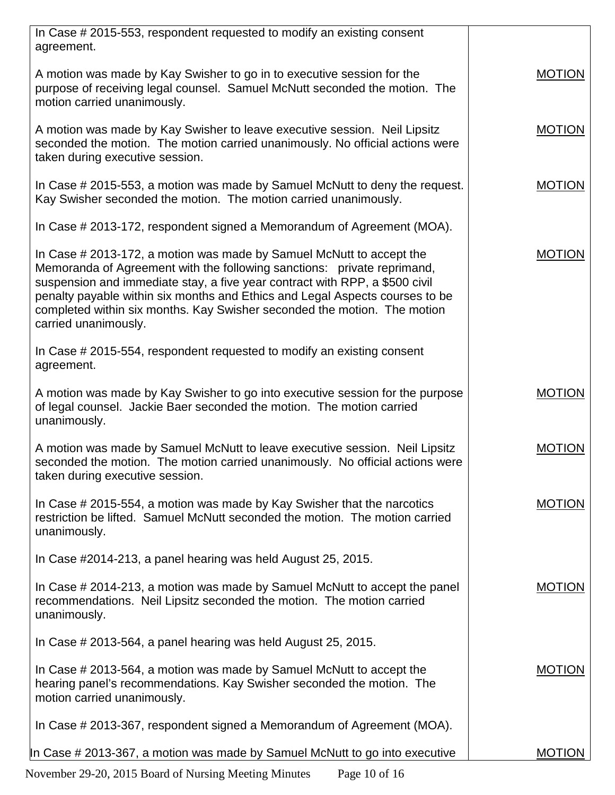| In Case # 2015-553, respondent requested to modify an existing consent<br>agreement.                                                                                                                                                                                                                                                                                                                               |               |
|--------------------------------------------------------------------------------------------------------------------------------------------------------------------------------------------------------------------------------------------------------------------------------------------------------------------------------------------------------------------------------------------------------------------|---------------|
| A motion was made by Kay Swisher to go in to executive session for the<br>purpose of receiving legal counsel. Samuel McNutt seconded the motion. The<br>motion carried unanimously.                                                                                                                                                                                                                                | <b>MOTION</b> |
| A motion was made by Kay Swisher to leave executive session. Neil Lipsitz<br>seconded the motion. The motion carried unanimously. No official actions were<br>taken during executive session.                                                                                                                                                                                                                      | <b>MOTION</b> |
| In Case # 2015-553, a motion was made by Samuel McNutt to deny the request.<br>Kay Swisher seconded the motion. The motion carried unanimously.                                                                                                                                                                                                                                                                    | <b>MOTION</b> |
| In Case # 2013-172, respondent signed a Memorandum of Agreement (MOA).                                                                                                                                                                                                                                                                                                                                             |               |
| In Case # 2013-172, a motion was made by Samuel McNutt to accept the<br>Memoranda of Agreement with the following sanctions: private reprimand,<br>suspension and immediate stay, a five year contract with RPP, a \$500 civil<br>penalty payable within six months and Ethics and Legal Aspects courses to be<br>completed within six months. Kay Swisher seconded the motion. The motion<br>carried unanimously. | <b>MOTION</b> |
| In Case # 2015-554, respondent requested to modify an existing consent<br>agreement.                                                                                                                                                                                                                                                                                                                               |               |
| A motion was made by Kay Swisher to go into executive session for the purpose<br>of legal counsel. Jackie Baer seconded the motion. The motion carried<br>unanimously.                                                                                                                                                                                                                                             | <b>MOTION</b> |
| A motion was made by Samuel McNutt to leave executive session. Neil Lipsitz<br>seconded the motion. The motion carried unanimously. No official actions were<br>taken during executive session.                                                                                                                                                                                                                    | <b>MOTION</b> |
| In Case # 2015-554, a motion was made by Kay Swisher that the narcotics<br>restriction be lifted. Samuel McNutt seconded the motion. The motion carried<br>unanimously.                                                                                                                                                                                                                                            | <b>MOTION</b> |
| In Case #2014-213, a panel hearing was held August 25, 2015.                                                                                                                                                                                                                                                                                                                                                       |               |
| In Case # 2014-213, a motion was made by Samuel McNutt to accept the panel<br>recommendations. Neil Lipsitz seconded the motion. The motion carried<br>unanimously.                                                                                                                                                                                                                                                | <b>MOTION</b> |
| In Case # 2013-564, a panel hearing was held August 25, 2015.                                                                                                                                                                                                                                                                                                                                                      |               |
| In Case # 2013-564, a motion was made by Samuel McNutt to accept the<br>hearing panel's recommendations. Kay Swisher seconded the motion. The<br>motion carried unanimously.                                                                                                                                                                                                                                       | <b>MOTION</b> |
| In Case # 2013-367, respondent signed a Memorandum of Agreement (MOA).                                                                                                                                                                                                                                                                                                                                             |               |
| In Case # 2013-367, a motion was made by Samuel McNutt to go into executive                                                                                                                                                                                                                                                                                                                                        | <b>MOTION</b> |

November 29-20, 2015 Board of Nursing Meeting Minutes Page 10 of 16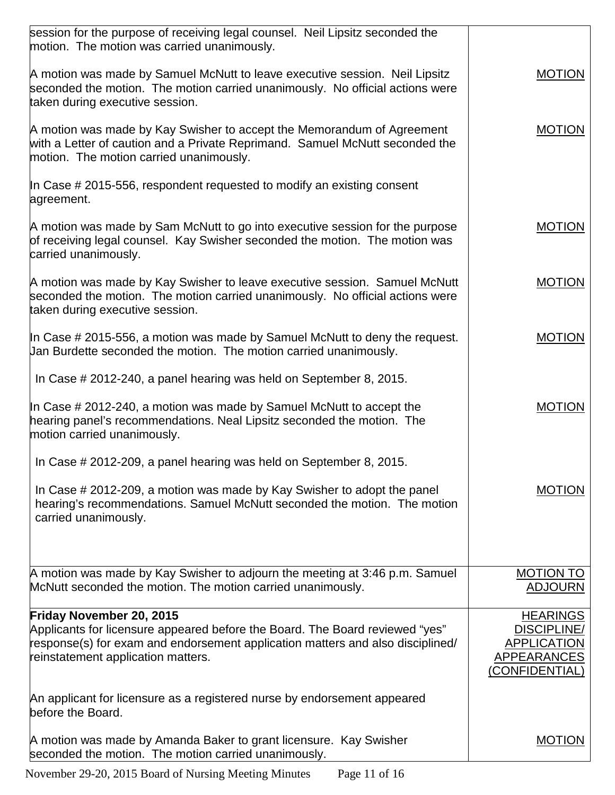| session for the purpose of receiving legal counsel. Neil Lipsitz seconded the<br>motion. The motion was carried unanimously.                                                                         |                                                                           |
|------------------------------------------------------------------------------------------------------------------------------------------------------------------------------------------------------|---------------------------------------------------------------------------|
| A motion was made by Samuel McNutt to leave executive session. Neil Lipsitz<br>seconded the motion. The motion carried unanimously. No official actions were<br>taken during executive session.      | <b>MOTION</b>                                                             |
| A motion was made by Kay Swisher to accept the Memorandum of Agreement<br>with a Letter of caution and a Private Reprimand. Samuel McNutt seconded the<br>motion. The motion carried unanimously.    | <b>MOTION</b>                                                             |
| In Case $\#$ 2015-556, respondent requested to modify an existing consent<br>agreement.                                                                                                              |                                                                           |
| A motion was made by Sam McNutt to go into executive session for the purpose<br>of receiving legal counsel. Kay Swisher seconded the motion. The motion was<br>carried unanimously.                  | <b>MOTION</b>                                                             |
| A motion was made by Kay Swisher to leave executive session. Samuel McNutt<br>seconded the motion. The motion carried unanimously. No official actions were<br>taken during executive session.       | <b>MOTION</b>                                                             |
| In Case $\#$ 2015-556, a motion was made by Samuel McNutt to deny the request.<br>Jan Burdette seconded the motion. The motion carried unanimously.                                                  | <b>MOTION</b>                                                             |
| In Case # 2012-240, a panel hearing was held on September 8, 2015.                                                                                                                                   |                                                                           |
| In Case $\#$ 2012-240, a motion was made by Samuel McNutt to accept the<br>hearing panel's recommendations. Neal Lipsitz seconded the motion. The<br>motion carried unanimously.                     | <b>MOTION</b>                                                             |
| In Case # 2012-209, a panel hearing was held on September 8, 2015.                                                                                                                                   |                                                                           |
| In Case # 2012-209, a motion was made by Kay Swisher to adopt the panel<br>hearing's recommendations. Samuel McNutt seconded the motion. The motion<br>carried unanimously.                          | MOTION                                                                    |
| A motion was made by Kay Swisher to adjourn the meeting at 3:46 p.m. Samuel                                                                                                                          | <b>MOTION TO</b>                                                          |
| McNutt seconded the motion. The motion carried unanimously.                                                                                                                                          | <b>ADJOURN</b>                                                            |
| Friday November 20, 2015                                                                                                                                                                             | <b>HEARINGS</b>                                                           |
| Applicants for licensure appeared before the Board. The Board reviewed "yes"<br>response(s) for exam and endorsement application matters and also disciplined/<br>reinstatement application matters. | <b>DISCIPLINE/</b><br><b>APPLICATION</b><br>APPEARANCES<br>(CONFIDENTIAL) |
| An applicant for licensure as a registered nurse by endorsement appeared<br>before the Board.                                                                                                        |                                                                           |
| A motion was made by Amanda Baker to grant licensure. Kay Swisher<br>seconded the motion. The motion carried unanimously.                                                                            | <b>MOTION</b>                                                             |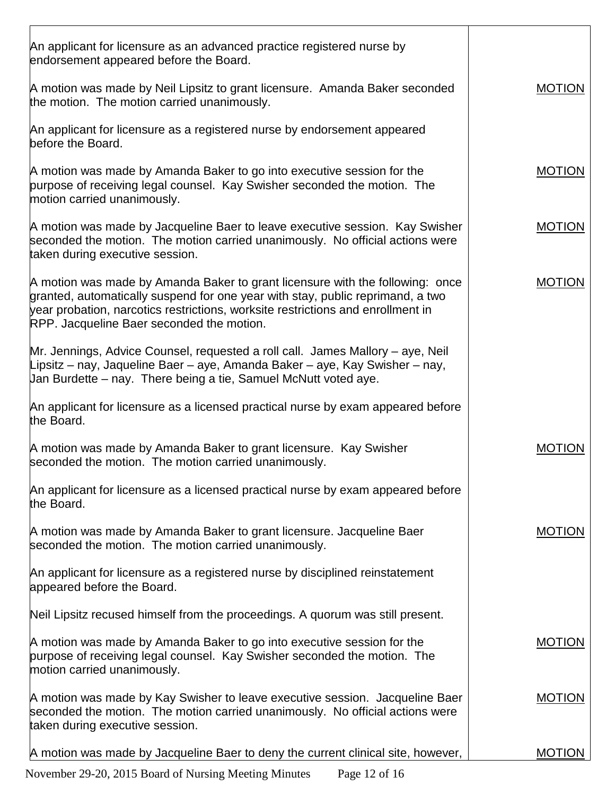| An applicant for licensure as an advanced practice registered nurse by<br>endorsement appeared before the Board.                                                                                                                                                                                |               |
|-------------------------------------------------------------------------------------------------------------------------------------------------------------------------------------------------------------------------------------------------------------------------------------------------|---------------|
| A motion was made by Neil Lipsitz to grant licensure. Amanda Baker seconded<br>the motion. The motion carried unanimously.                                                                                                                                                                      | <b>MOTION</b> |
| An applicant for licensure as a registered nurse by endorsement appeared<br>before the Board.                                                                                                                                                                                                   |               |
| A motion was made by Amanda Baker to go into executive session for the<br>purpose of receiving legal counsel. Kay Swisher seconded the motion. The<br>motion carried unanimously.                                                                                                               | <b>MOTION</b> |
| A motion was made by Jacqueline Baer to leave executive session. Kay Swisher<br>seconded the motion. The motion carried unanimously. No official actions were<br>taken during executive session.                                                                                                | <b>MOTION</b> |
| A motion was made by Amanda Baker to grant licensure with the following: once<br>granted, automatically suspend for one year with stay, public reprimand, a two<br>year probation, narcotics restrictions, worksite restrictions and enrollment in<br>RPP. Jacqueline Baer seconded the motion. | <b>MOTION</b> |
| Mr. Jennings, Advice Counsel, requested a roll call. James Mallory – aye, Neil<br>Lipsitz – nay, Jaqueline Baer – aye, Amanda Baker – aye, Kay Swisher – nay,<br>Jan Burdette – nay. There being a tie, Samuel McNutt voted aye.                                                                |               |
| An applicant for licensure as a licensed practical nurse by exam appeared before<br>the Board.                                                                                                                                                                                                  |               |
| A motion was made by Amanda Baker to grant licensure. Kay Swisher<br>seconded the motion. The motion carried unanimously.                                                                                                                                                                       | <b>MOTION</b> |
| An applicant for licensure as a licensed practical nurse by exam appeared before<br>the Board.                                                                                                                                                                                                  |               |
| A motion was made by Amanda Baker to grant licensure. Jacqueline Baer<br>seconded the motion. The motion carried unanimously.                                                                                                                                                                   | <b>MOTION</b> |
| An applicant for licensure as a registered nurse by disciplined reinstatement<br>appeared before the Board.                                                                                                                                                                                     |               |
| Neil Lipsitz recused himself from the proceedings. A quorum was still present.                                                                                                                                                                                                                  |               |
| A motion was made by Amanda Baker to go into executive session for the<br>purpose of receiving legal counsel. Kay Swisher seconded the motion. The<br>motion carried unanimously.                                                                                                               | <b>MOTION</b> |
| A motion was made by Kay Swisher to leave executive session. Jacqueline Baer<br>seconded the motion. The motion carried unanimously. No official actions were<br>taken during executive session.                                                                                                | <b>MOTION</b> |
| A motion was made by Jacqueline Baer to deny the current clinical site, however,                                                                                                                                                                                                                | <b>MOTION</b> |
|                                                                                                                                                                                                                                                                                                 |               |